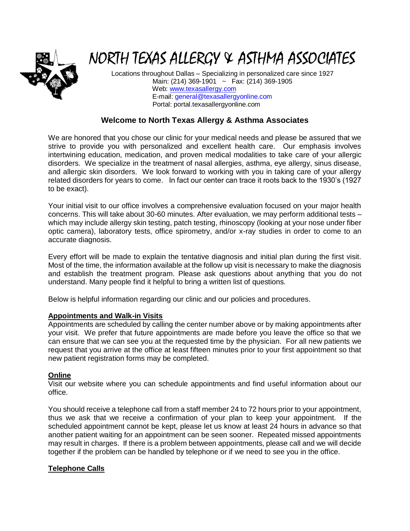

# NORTH TEXAS ALLERGY & ASTHMA ASSOCIATES

Locations throughout Dallas – Specializing in personalized care since 1927 Main: (214) 369-1901 ~ Fax: (214) 369-1905 Web: [www.texasallergy.com](http://www.texasallergy.com/) E-mail: [general@texasallergyonline.com](mailto:general@texasallergyonline.com) Portal: portal.texasallergyonline.com

# **Welcome to North Texas Allergy & Asthma Associates**

We are honored that you chose our clinic for your medical needs and please be assured that we strive to provide you with personalized and excellent health care. Our emphasis involves intertwining education, medication, and proven medical modalities to take care of your allergic disorders. We specialize in the treatment of nasal allergies, asthma, eye allergy, sinus disease, and allergic skin disorders. We look forward to working with you in taking care of your allergy related disorders for years to come. In fact our center can trace it roots back to the 1930's (1927 to be exact).

Your initial visit to our office involves a comprehensive evaluation focused on your major health concerns. This will take about 30-60 minutes. After evaluation, we may perform additional tests – which may include allergy skin testing, patch testing, rhinoscopy (looking at your nose under fiber optic camera), laboratory tests, office spirometry, and/or x-ray studies in order to come to an accurate diagnosis.

Every effort will be made to explain the tentative diagnosis and initial plan during the first visit. Most of the time, the information available at the follow up visit is necessary to make the diagnosis and establish the treatment program. Please ask questions about anything that you do not understand. Many people find it helpful to bring a written list of questions.

Below is helpful information regarding our clinic and our policies and procedures.

# **Appointments and Walk-in Visits**

Appointments are scheduled by calling the center number above or by making appointments after your visit. We prefer that future appointments are made before you leave the office so that we can ensure that we can see you at the requested time by the physician. For all new patients we request that you arrive at the office at least fifteen minutes prior to your first appointment so that new patient registration forms may be completed.

# **Online**

Visit our website where you can schedule appointments and find useful information about our office.

You should receive a telephone call from a staff member 24 to 72 hours prior to your appointment, thus we ask that we receive a confirmation of your plan to keep your appointment. If the scheduled appointment cannot be kept, please let us know at least 24 hours in advance so that another patient waiting for an appointment can be seen sooner. Repeated missed appointments may result in charges. If there is a problem between appointments, please call and we will decide together if the problem can be handled by telephone or if we need to see you in the office.

# **Telephone Calls**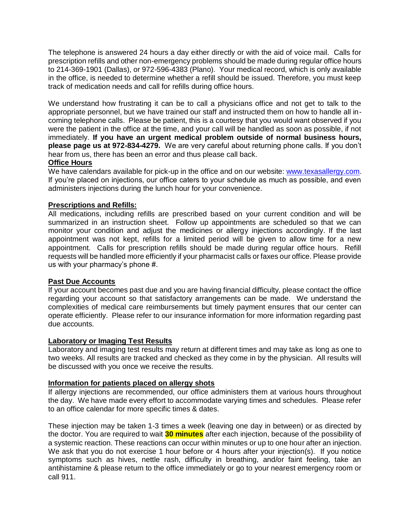The telephone is answered 24 hours a day either directly or with the aid of voice mail. Calls for prescription refills and other non-emergency problems should be made during regular office hours to 214-369-1901 (Dallas), or 972-596-4383 (Plano). Your medical record, which is only available in the office, is needed to determine whether a refill should be issued. Therefore, you must keep track of medication needs and call for refills during office hours.

We understand how frustrating it can be to call a physicians office and not get to talk to the appropriate personnel, but we have trained our staff and instructed them on how to handle all incoming telephone calls. Please be patient, this is a courtesy that you would want observed if you were the patient in the office at the time, and your call will be handled as soon as possible, if not immediately. **If you have an urgent medical problem outside of normal business hours, please page us at 972-834-4279.** We are very careful about returning phone calls. If you don't hear from us, there has been an error and thus please call back.

## **Office Hours**

We have calendars available for pick-up in the office and on our website: [www.texasallergy.com.](http://www.texasallergy.com/) If you're placed on injections, our office caters to your schedule as much as possible, and even administers injections during the lunch hour for your convenience.

## **Prescriptions and Refills:**

All medications, including refills are prescribed based on your current condition and will be summarized in an instruction sheet. Follow up appointments are scheduled so that we can monitor your condition and adjust the medicines or allergy injections accordingly. If the last appointment was not kept, refills for a limited period will be given to allow time for a new appointment. Calls for prescription refills should be made during regular office hours. Refill requests will be handled more efficiently if your pharmacist calls or faxes our office. Please provide us with your pharmacy's phone #.

## **Past Due Accounts**

If your account becomes past due and you are having financial difficulty, please contact the office regarding your account so that satisfactory arrangements can be made. We understand the complexities of medical care reimbursements but timely payment ensures that our center can operate efficiently. Please refer to our insurance information for more information regarding past due accounts.

#### **Laboratory or Imaging Test Results**

Laboratory and imaging test results may return at different times and may take as long as one to two weeks. All results are tracked and checked as they come in by the physician. All results will be discussed with you once we receive the results.

## **Information for patients placed on allergy shots**

If allergy injections are recommended, our office administers them at various hours throughout the day. We have made every effort to accommodate varying times and schedules. Please refer to an office calendar for more specific times & dates.

These injection may be taken 1-3 times a week (leaving one day in between) or as directed by the doctor. You are required to wait **30 minutes** after each injection, because of the possibility of a systemic reaction. These reactions can occur within minutes or up to one hour after an injection. We ask that you do not exercise 1 hour before or 4 hours after your injection(s). If you notice symptoms such as hives, nettle rash, difficulty in breathing, and/or faint feeling, take an antihistamine & please return to the office immediately or go to your nearest emergency room or call 911.